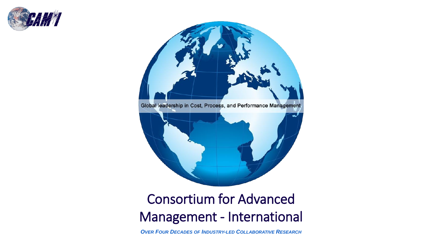



## Consortium for Advanced Management - International

*OVER FOUR DECADES OF INDUSTRY-LED COLLABORATIVE RESEARCH*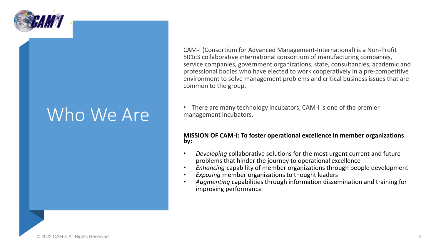

## Who We Are

CAM-I (Consortium for Advanced Management-International) is a Non-Profit 501c3 collaborative international consortium of manufacturing companies, service companies, government organizations, state, consultancies, academic and professional bodies who have elected to work cooperatively in a pre-competitive environment to solve management problems and critical business issues that are common to the group.

• There are many technology incubators, CAM-I is one of the premier management incubators.

#### **MISSION OF CAM-I: To foster operational excellence in member organizations by:**

- *Developing* collaborative solutions for the most urgent current and future problems that hinder the journey to operational excellence
- *Enhancing* capability of member organizations through people development
- *Exposing* member organizations to thought leaders
- *Augmenting* capabilities through information dissemination and training for improving performance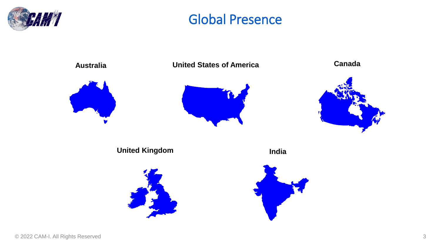

## Global Presence

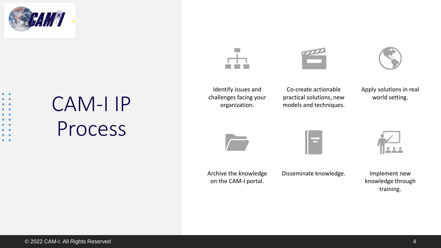

| $\bullet$ | - 0       |
|-----------|-----------|
| $\bullet$ | - 0       |
| $\bullet$ | - 0       |
| $\bullet$ | - 0       |
| $\bullet$ | - 0       |
| $\bullet$ | - 0       |
| $\bullet$ | $\bullet$ |
| $\bullet$ | $\bullet$ |
| $\bullet$ | - 0       |
| $\bullet$ |           |

## CAM-I IP Process









Identify issues and challenges facing your organization.

Co-create actionable practical solutions, new models and techniques.

Apply solutions in real world setting.



Archive the knowledge on the CAM-I portal.







Disseminate knowledge. Implement new knowledge through training.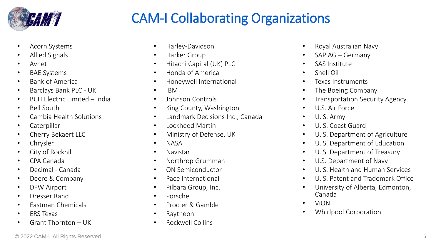

## CAM-I Collaborating Organizations

- Acorn Systems
- Allied Signals
- Avnet
- BAE Systems
- Bank of America
- Barclays Bank PLC UK
- BCH Flectric Limited India
- Bell South
- Cambia Health Solutions
- Caterpillar
- Cherry Bekaert LLC
- Chrysler
- City of Rockhill
- CPA Canada
- Decimal Canada
- Deere & Company
- DFW Airport
- Dresser Rand
- Eastman Chemicals
- ERS Texas
- Grant Thornton UK
- Harley-Davidson
- Harker Group
- Hitachi Capital (UK) PLC
- Honda of America
- Honeywell International
- IBM
- Johnson Controls
- King County, Washington
- Landmark Decisions Inc., Canada
- Lockheed Martin
- Ministry of Defense, UK
- NASA
- Navistar
- Northrop Grumman
- ON Semiconductor
- Pace International
- Pilbara Group, Inc.
- Porsche
- Procter & Gamble
- Raytheon
- Rockwell Collins
- Royal Australian Navy
- SAP AG Germany
- SAS Institute
- Shell Oil
- Texas Instruments
- The Boeing Company
- Transportation Security Agency
- U.S. Air Force
- U. S. Army
- U. S. Coast Guard
- U. S. Department of Agriculture
- U. S. Department of Education
- U. S. Department of Treasury
- U.S. Department of Navy
- U. S. Health and Human Services
- U. S. Patent and Trademark Office
- University of Alberta, Edmonton, Canada
- ViON
- Whirlpool Corporation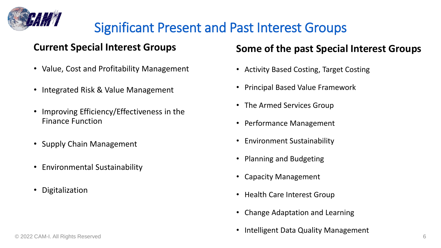

## Significant Present and Past Interest Groups

#### **Current Special Interest Groups**

- Value, Cost and Profitability Management
- Integrated Risk & Value Management
- Improving Efficiency/Effectiveness in the Finance Function
- Supply Chain Management
- Environmental Sustainability
- Digitalization

#### **Some of the past Special Interest Groups**

- Activity Based Costing, Target Costing
- Principal Based Value Framework
- The Armed Services Group
- Performance Management
- Environment Sustainability
- Planning and Budgeting
- Capacity Management
- Health Care Interest Group
- Change Adaptation and Learning
- Intelligent Data Quality Management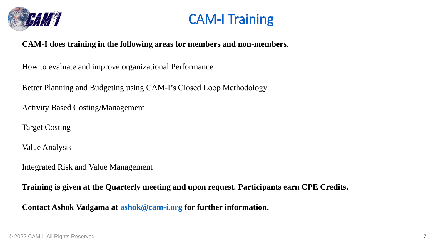

## CAM-I Training

#### **CAM-I does training in the following areas for members and non-members.**

How to evaluate and improve organizational Performance

Better Planning and Budgeting using CAM-I's Closed Loop Methodology

Activity Based Costing/Management

Target Costing

Value Analysis

Integrated Risk and Value Management

**Training is given at the Quarterly meeting and upon request. Participants earn CPE Credits.**

**Contact Ashok Vadgama at [ashok@cam-i.org](mailto:ashok@cam-i.org) for further information.**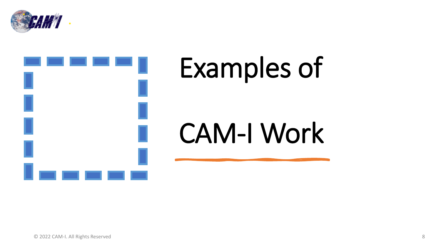

# Examples of CAM-I Work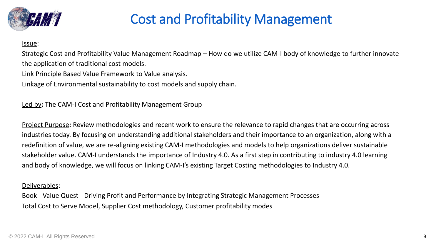

## Cost and Profitability Management

#### Issue:

Strategic Cost and Profitability Value Management Roadmap – How do we utilize CAM-I body of knowledge to further innovate the application of traditional cost models.

Link Principle Based Value Framework to Value analysis.

Linkage of Environmental sustainability to cost models and supply chain.

Led by**:** The CAM-I Cost and Profitability Management Group

Project Purpose**:** Review methodologies and recent work to ensure the relevance to rapid changes that are occurring across industries today. By focusing on understanding additional stakeholders and their importance to an organization, along with a redefinition of value, we are re-aligning existing CAM-I methodologies and models to help organizations deliver sustainable stakeholder value. CAM-I understands the importance of Industry 4.0. As a first step in contributing to industry 4.0 learning and body of knowledge, we will focus on linking CAM-I's existing Target Costing methodologies to Industry 4.0.

#### Deliverables:

Book - Value Quest - Driving Profit and Performance by Integrating Strategic Management Processes Total Cost to Serve Model, Supplier Cost methodology, Customer profitability modes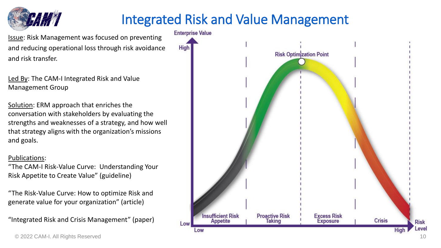

## Integrated Risk and Value Management

Issue: Risk Management was focused on preventing and reducing operational loss through risk avoidance and risk transfer.

Led By: The CAM-I Integrated Risk and Value Management Group

Solution: ERM approach that enriches the conversation with stakeholders by evaluating the strengths and weaknesses of a strategy, and how well that strategy aligns with the organization's missions and goals.

#### Publications:

"The CAM-I Risk-Value Curve: Understanding Your Risk Appetite to Create Value" (guideline)

"The Risk-Value Curve: How to optimize Risk and generate value for your organization" (article)

"Integrated Risk and Crisis Management" (paper)



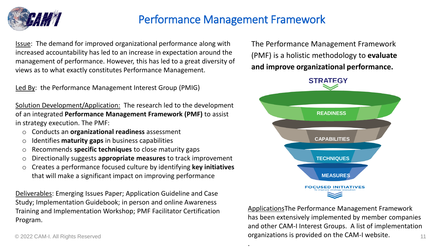

## Performance Management Framework

.

Issue: The demand for improved organizational performance along with increased accountability has led to an increase in expectation around the management of performance. However, this has led to a great diversity of views as to what exactly constitutes Performance Management.

Led By: the Performance Management Interest Group (PMIG)

Solution Development/Application: The research led to the development of an integrated **Performance Management Framework (PMF)** to assist in strategy execution. The PMF:

- o Conducts an **organizational readiness** assessment
- o Identifies **maturity gaps** in business capabilities
- o Recommends **specific techniques** to close maturity gaps
- o Directionally suggests **appropriate measures** to track improvement
- o Creates a performance focused culture by identifying **key initiatives**  that will make a significant impact on improving performance

Deliverables: Emerging Issues Paper; Application Guideline and Case Study; Implementation Guidebook; in person and online Awareness Training and Implementation Workshop; PMF Facilitator Certification Program.

The Performance Management Framework (PMF) is a holistic methodology to **evaluate and improve organizational performance.**



ApplicationsThe Performance Management Framework has been extensively implemented by member companies and other CAM-I Interest Groups. A list of implementation organizations is provided on the CAM-I website. 11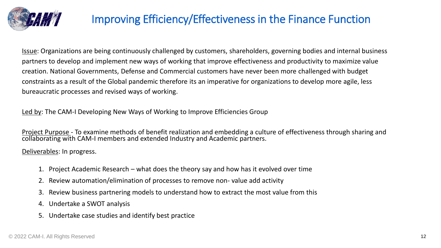

## Improving Efficiency/Effectiveness in the Finance Function

Issue: Organizations are being continuously challenged by customers, shareholders, governing bodies and internal business partners to develop and implement new ways of working that improve effectiveness and productivity to maximize value creation. National Governments, Defense and Commercial customers have never been more challenged with budget constraints as a result of the Global pandemic therefore its an imperative for organizations to develop more agile, less bureaucratic processes and revised ways of working.

Led by: The CAM-I Developing New Ways of Working to Improve Efficiencies Group

Project Purpose - To examine methods of benefit realization and embedding a culture of effectiveness through sharing and collaborating with CAM-I members and extended Industry and Academic partners.

Deliverables: In progress.

- 1. Project Academic Research what does the theory say and how has it evolved over time
- 2. Review automation/elimination of processes to remove non- value add activity
- 3. Review business partnering models to understand how to extract the most value from this
- 4. Undertake a SWOT analysis
- 5. Undertake case studies and identify best practice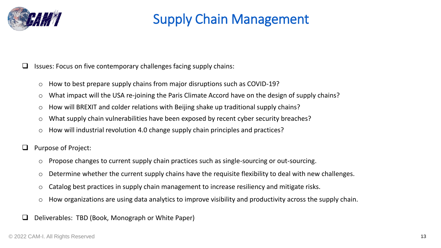

## Supply Chain Management

 $\Box$  Issues: Focus on five contemporary challenges facing supply chains:

- o How to best prepare supply chains from major disruptions such as COVID-19?
- o What impact will the USA re-joining the Paris Climate Accord have on the design of supply chains?
- o How will BREXIT and colder relations with Beijing shake up traditional supply chains?
- o What supply chain vulnerabilities have been exposed by recent cyber security breaches?
- o How will industrial revolution 4.0 change supply chain principles and practices?
- ❑ Purpose of Project:
	- o Propose changes to current supply chain practices such as single-sourcing or out-sourcing.
	- o Determine whether the current supply chains have the requisite flexibility to deal with new challenges.
	- o Catalog best practices in supply chain management to increase resiliency and mitigate risks.
	- o How organizations are using data analytics to improve visibility and productivity across the supply chain.
- ❑ Deliverables: TBD (Book, Monograph or White Paper)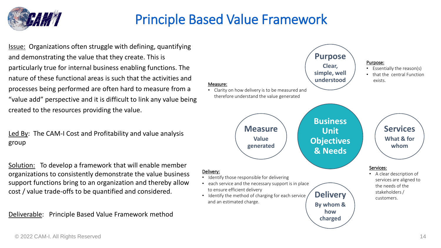

## Principle Based Value Framework

Issue: Organizations often struggle with defining, quantifying and demonstrating the value that they create. This is particularly true for internal business enabling functions. The nature of these functional areas is such that the activities and processes being performed are often hard to measure from a "value add" perspective and it is difficult to link any value being created to the resources providing the value.

Led By: The CAM-I Cost and Profitability and value analysis group

Solution: To develop a framework that will enable member organizations to consistently demonstrate the value business support functions bring to an organization and thereby allow cost / value trade-offs to be quantified and considered.

Deliverable: Principle Based Value Framework method

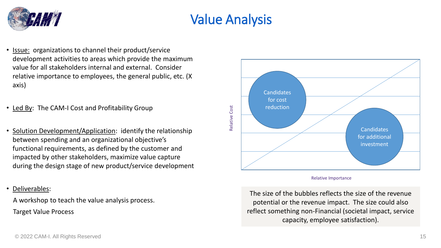

## Value Analysis

- Issue: organizations to channel their product/service development activities to areas which provide the maximum value for all stakeholders internal and external. Consider relative importance to employees, the general public, etc. (X axis)
- Led By: The CAM-I Cost and Profitability Group
- Solution Development/Application: identify the relationship between spending and an organizational objective's functional requirements, as defined by the customer and impacted by other stakeholders, maximize value capture during the design stage of new product/service development
- Deliverables:

A workshop to teach the value analysis process.

Target Value Process



#### Relative Importance

The size of the bubbles reflects the size of the revenue potential or the revenue impact. The size could also reflect something non-Financial (societal impact, service capacity, employee satisfaction).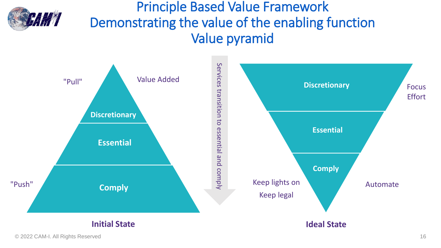

## Principle Based Value Framework Demonstrating the value of the enabling function Value pyramid

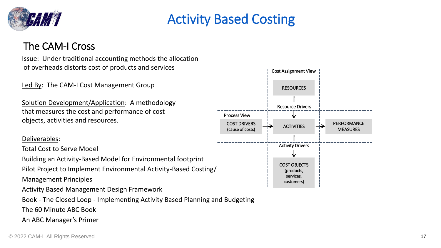

## Activity Based Costing

### The CAM-I Cross

Issue: Under traditional accounting methods the allocation of overheads distorts cost of products and services

Led By: The CAM-I Cost Management Group

Solution Development/Application: A methodology that measures the cost and performance of cost objects, activities and resources.

#### Deliverables:

Total Cost to Serve Model

Building an Activity-Based Model for Environmental footprint

Pilot Project to Implement Environmental Activity-Based Costing/

Management Principles

Activity Based Management Design Framework

Book - The Closed Loop - Implementing Activity Based Planning and Budgeting

The 60 Minute ABC Book

An ABC Manager's Primer

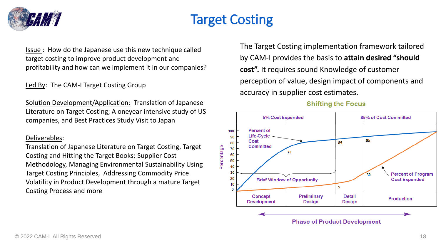

## Target Costing

Issue : How do the Japanese use this new technique called target costing to improve product development and profitability and how can we implement it in our companies?

Led By: The CAM-I Target Costing Group

Solution Development/Application: Translation of Japanese Literature on Target Costing; A oneyear intensive study of US companies, and Best Practices Study Visit to Japan

#### Deliverables:

Translation of Japanese Literature on Target Costing, Target Costing and Hitting the Target Books; Supplier Cost Methodology, Managing Environmental Sustainability Using Target Costing Principles, Addressing Commodity Price Volatility in Product Development through a mature Target Costing Process and more

The Target Costing implementation framework tailored by CAM-I provides the basis to **attain desired "should cost".** It requires sound Knowledge of customer perception of value, design impact of components and accuracy in supplier cost estimates.

#### **Shifting the Focus**

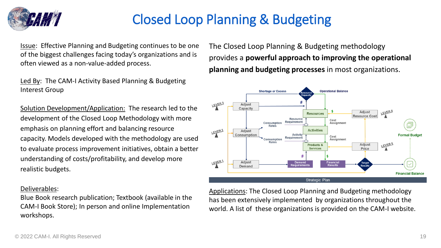

## Closed Loop Planning & Budgeting

Issue: Effective Planning and Budgeting continues to be one of the biggest challenges facing today's organizations and is often viewed as a non-value-added process.

Led By: The CAM-I Activity Based Planning & Budgeting Interest Group

Solution Development/Application: The research led to the development of the Closed Loop Methodology with more emphasis on planning effort and balancing resource capacity. Models developed with the methodology are used to evaluate process improvement initiatives, obtain a better understanding of costs/profitability, and develop more realistic budgets.

#### Deliverables:

Blue Book research publication; Textbook (available in the CAM-I Book Store); In person and online Implementation workshops.

The Closed Loop Planning & Budgeting methodology provides a **powerful approach to improving the operational planning and budgeting processes** in most organizations.



Applications: The Closed Loop Planning and Budgeting methodology has been extensively implemented by organizations throughout the world. A list of these organizations is provided on the CAM-I website.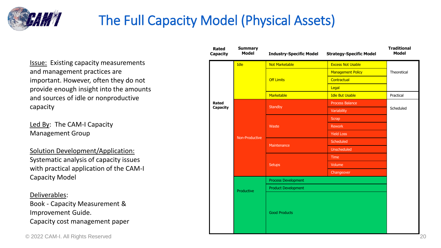

## The Full Capacity Model (Physical Assets)

Issue: Existing capacity measurements and management practices are important. However, often they do not provide enough insight into the amounts and sources of idle or nonproductive capacity

Led By: The CAM-I Capacity Management Group

Solution Development/Application: Systematic analysis of capacity issues with practical application of the CAM-I Capacity Model

#### Deliverables:

Book - Capacity Measurement & Improvement Guide. Capacity cost management paper

| <b>Rated</b><br>Capacity | <b>Summary</b><br><b>Model</b> | <b>Industry-Specific Model</b> | <b>Strategy-Specific Model</b> | <b>Traditional</b><br><b>Model</b> |
|--------------------------|--------------------------------|--------------------------------|--------------------------------|------------------------------------|
|                          | <b>Idle</b>                    | <b>Not Marketable</b>          | <b>Excess Not Usable</b>       |                                    |
|                          |                                | <b>Off Limits</b>              | <b>Management Policy</b>       | Theoretical                        |
|                          |                                |                                | Contractual                    |                                    |
|                          |                                |                                | Legal                          |                                    |
|                          |                                | Marketable                     | <b>Idle But Usable</b>         | Practical                          |
| Rated<br><b>Capacity</b> |                                | <b>Standby</b>                 | Process Balance                |                                    |
|                          |                                |                                | Variability                    | Scheduled                          |
|                          |                                | Waste                          | <b>Scrap</b>                   |                                    |
|                          |                                |                                | <b>Rework</b>                  |                                    |
|                          | Non-Productive                 |                                | <b>Yield Loss</b>              |                                    |
|                          |                                | Maintenance                    | Scheduled                      |                                    |
|                          |                                |                                | <b>Unscheduled</b>             |                                    |
|                          |                                | Setups                         | <b>Time</b>                    |                                    |
|                          |                                |                                | Volume                         |                                    |
|                          |                                |                                | Changeover                     |                                    |
|                          |                                | <b>Process Development</b>     |                                |                                    |
|                          | Productive                     | <b>Product Development</b>     |                                |                                    |
|                          |                                | <b>Good Products</b>           |                                |                                    |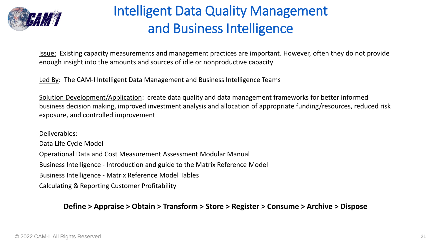

## Intelligent Data Quality Management and Business Intelligence

Issue: Existing capacity measurements and management practices are important. However, often they do not provide enough insight into the amounts and sources of idle or nonproductive capacity

Led By: The CAM-I Intelligent Data Management and Business Intelligence Teams

Solution Development/Application: create data quality and data management frameworks for better informed business decision making, improved investment analysis and allocation of appropriate funding/resources, reduced risk exposure, and controlled improvement

Deliverables: Data Life Cycle Model Operational Data and Cost Measurement Assessment Modular Manual Business Intelligence - Introduction and guide to the Matrix Reference Model Business Intelligence - Matrix Reference Model Tables Calculating & Reporting Customer Profitability

#### **Define > Appraise > Obtain > Transform > Store > Register > Consume > Archive > Dispose**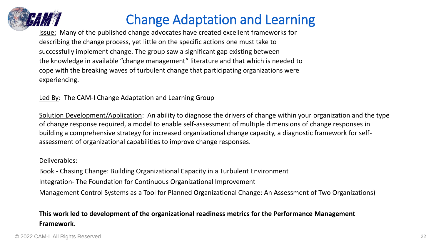

## Change Adaptation and Learning

Issue: Many of the published change advocates have created excellent frameworks for describing the change process, yet little on the specific actions one must take to successfully implement change. The group saw a significant gap existing between the knowledge in available "change management" literature and that which is needed to cope with the breaking waves of turbulent change that participating organizations were experiencing.

Led By: The CAM-I Change Adaptation and Learning Group

Solution Development/Application: An ability to diagnose the drivers of change within your organization and the type of change response required, a model to enable self-assessment of multiple dimensions of change responses in building a comprehensive strategy for increased organizational change capacity, a diagnostic framework for selfassessment of organizational capabilities to improve change responses.

#### Deliverables:

Book - Chasing Change: Building Organizational Capacity in a Turbulent Environment Integration- The Foundation for Continuous Organizational Improvement Management Control Systems as a Tool for Planned Organizational Change: An Assessment of Two Organizations)

#### **This work led to development of the organizational readiness metrics for the Performance Management Framework**.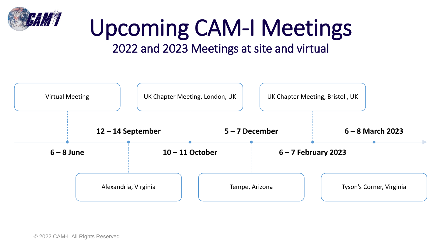

# Upcoming CAM-I Meetings

## 2022 and 2023 Meetings at site and virtual

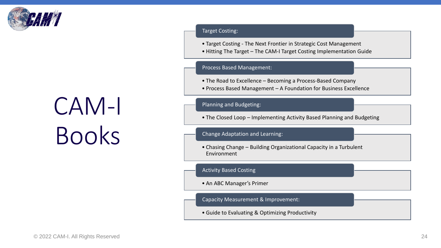

# CAM-I Books

#### Target Costing:

- Target Costing The Next Frontier in Strategic Cost Management
- Hitting The Target The CAM-I Target Costing Implementation Guide

#### Process Based Management:

- The Road to Excellence Becoming a Process-Based Company
- Process Based Management A Foundation for Business Excellence

#### Planning and Budgeting:

• The Closed Loop – Implementing Activity Based Planning and Budgeting

#### Change Adaptation and Learning:

• Chasing Change – Building Organizational Capacity in a Turbulent Environment

#### Activity Based Costing

• An ABC Manager's Primer

#### Capacity Measurement & Improvement:

• Guide to Evaluating & Optimizing Productivity